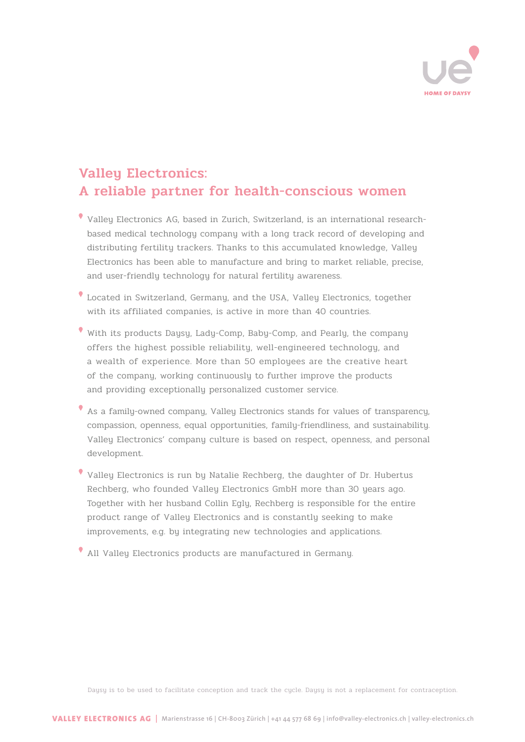

# **Valleu Electronics:** A reliable partner for health-conscious women

- Valley Electronics AG, based in Zurich, Switzerland, is an international researchbased medical technology company with a long track record of developing and distributing fertility trackers. Thanks to this accumulated knowledge, Valley Electronics has been able to manufacture and bring to market reliable, precise, and user-friendly technology for natural fertility awareness.
- Located in Switzerland, Germany, and the USA, Valley Electronics, together with its affiliated companies, is active in more than 40 countries.
- With its products Daysy, Lady-Comp, Baby-Comp, and Pearly, the company offers the highest possible reliability, well-engineered technology, and a wealth of experience. More than 50 employees are the creative heart of the company, working continuously to further improve the products and providing exceptionally personalized customer service.
- As a family-owned company, Valley Electronics stands for values of transparency, compassion, openness, equal opportunities, family-friendliness, and sustainability. Valley Electronics' company culture is based on respect, openness, and personal development.
- $\bullet$  Valleu Electronics is run by Natalie Rechberg, the daughter of Dr. Hubertus Rechberg, who founded Valley Electronics GmbH more than 30 years ago. Together with her husband Collin Egly, Rechberg is responsible for the entire product range of Valley Electronics and is constantly seeking to make improvements, e.g. by integrating new technologies and applications.
- All Valley Electronics products are manufactured in Germany.

Daysy is to be used to facilitate conception and track the cycle. Daysy is not a replacement for contraception.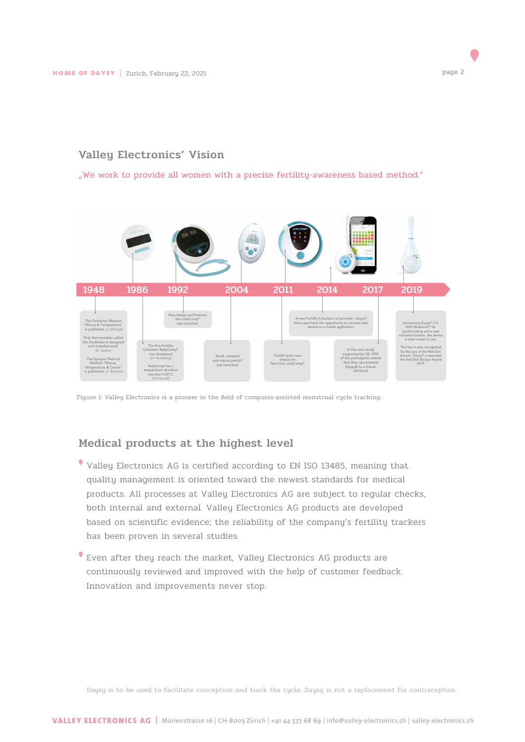## Valley Electronics' Vision

"We work to provide all women with a precise fertility-awareness based method."



Figure 1: Valley Electronics is a pioneer in the field of computer-assisted menstrual cycle tracking.

#### Medical products at the highest level

- Valley Electronics AG is certified according to EN ISO 13485, meaning that quality management is oriented toward the newest standards for medical products. All processes at Valley Electronics AG are subject to regular checks, both internal and external. Valley Electronics AG products are developed based on scientific evidence; the reliability of the company's fertility trackers has been proven in several studies.
- Even after they reach the market, Valley Electronics AG products are continuously reviewed and improved with the help of customer feedback. Innovation and improvements never stop.

Daysy is to be used to facilitate conception and track the cycle. Daysy is not a replacement for contraception.